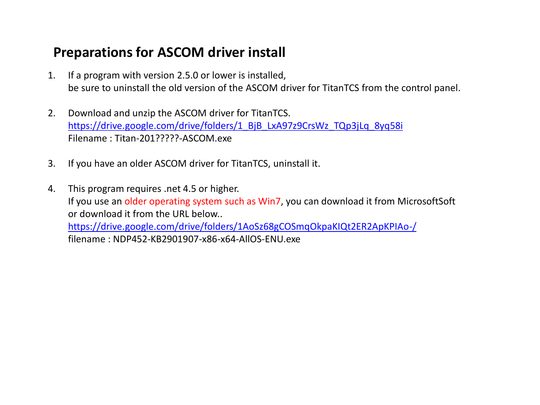#### **Preparations for ASCOM driver install**

- 1. If a program with version 2.5.0 or lower is installed, be sure to uninstall the old version of the ASCOM driver for TitanTCS from the control panel.
- 2. Download and unzip the ASCOM driver for TitanTCS. [https://drive.google.com/drive/folders/1\\_BjB\\_LxA97z9CrsWz\\_TQp3jLq\\_8yq58i](https://drive.google.com/drive/folders/1_BjB_LxA97z9CrsWz_TQp3jLq_8yq58i) Filename : Titan-201?????-ASCOM.exe
- 3. If you have an older ASCOM driver for TitanTCS, uninstall it.
- 4. This program requires .net 4.5 or higher. If you use an older operating system such as Win7, you can download it from MicrosoftSoft or download it from the URL below.. https://drive.google.com/drive/folders/1AoSz68gCOSmqOkpaKIQt2ER2ApKPIAo-/ filename : NDP452-KB2901907-x86-x64-AllOS-ENU.exe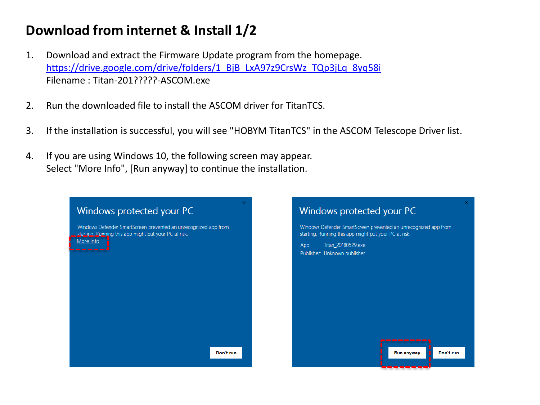### **Download from internet & Install 1/2**

- 1. Download and extract the Firmware Update program from the homepage. [https://drive.google.com/drive/folders/1\\_BjB\\_LxA97z9CrsWz\\_TQp3jLq\\_8yq58i](https://drive.google.com/drive/folders/1_BjB_LxA97z9CrsWz_TQp3jLq_8yq58i) Filename : Titan-201?????-ASCOM.exe
- 2. Run the downloaded file to install the ASCOM driver for TitanTCS.
- 3. If the installation is successful, you will see "HOBYM TitanTCS" in the ASCOM Telescope Driver list.
- 4. If you are using Windows 10, the following screen may appear. Select "More Info", [Run anyway] to continue the installation.

| Windows protected your PC                                                                                                             | ×.<br>Windows protected your PC                                                                                                                                                        |
|---------------------------------------------------------------------------------------------------------------------------------------|----------------------------------------------------------------------------------------------------------------------------------------------------------------------------------------|
| Windows Defender SmartScreen prevented an unrecognized app from<br>starting. Running this app might put your PC at risk.<br>More info | Windows Defender SmartScreen prevented an unrecognized app from<br>starting. Running this app might put your PC at risk.<br>Titan_20180529.exe<br>App:<br>Publisher: Unknown publisher |
| Don't run                                                                                                                             | Don't run<br><b>Run anyway</b><br>________                                                                                                                                             |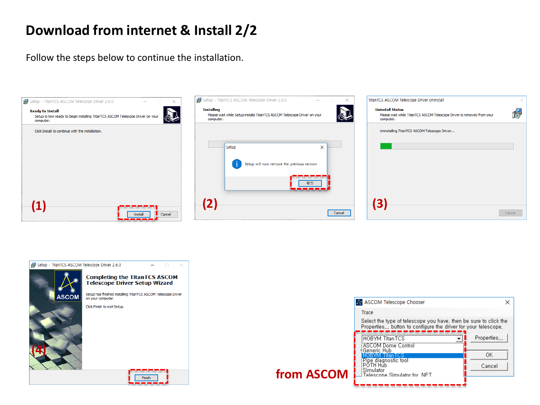## **Download from internet & Install 2/2**

Follow the steps below to continue the installation.





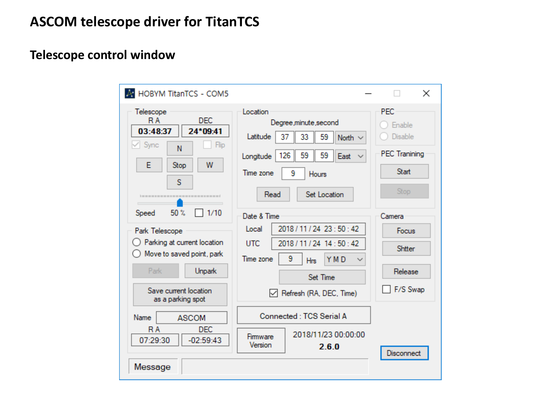## **Telescope control window**

| A HOBYM TitanTCS - COM5                                                                                                                                                                                                                                                                                                                                            |                                                                                                                                                                                                                                                                                                                                                                                                                                                             | $\times$                                                                                                                                           |
|--------------------------------------------------------------------------------------------------------------------------------------------------------------------------------------------------------------------------------------------------------------------------------------------------------------------------------------------------------------------|-------------------------------------------------------------------------------------------------------------------------------------------------------------------------------------------------------------------------------------------------------------------------------------------------------------------------------------------------------------------------------------------------------------------------------------------------------------|----------------------------------------------------------------------------------------------------------------------------------------------------|
| Telescope<br><b>DEC</b><br>R A<br>24*09:41<br>03:48:37<br>$\vee$ Sync<br>Flip<br>N<br>E<br>W<br>Stop<br>S<br><br>50%<br>1/10<br>Speed<br>Park Telescope<br>Parking at current location<br>Move to saved point, park<br>Park<br><b>Unpark</b><br>Save current location<br>as a parking spot<br>Name<br><b>ASCOM</b><br><b>DEC</b><br>R A<br>07:29:30<br>$-02:59:43$ | Location<br>Degree, minute, second<br>Latitude<br>59<br>33<br>North $\sim$<br>37<br>126<br>59<br>59<br>East $\vee$<br>Longitude<br>Time zone<br>9<br>Hours<br>Set Location<br>Read<br>Date & Time<br>2018 / 11 / 24 23 : 50 : 42<br>Local<br><b>UTC</b><br>2018 / 11 / 24 14 : 50 : 42<br>9<br>Time zone<br>YMD<br><b>Hrs</b><br>Set Time<br>$\vee$ Refresh (RA, DEC, Time)<br>Connected: TCS Serial A<br>2018/11/23 00:00:00<br>Firmware<br>Version<br>260 | <b>PEC</b><br>Enable<br>Disable<br><b>PEC Tranining</b><br><b>Start</b><br>Stop<br>Camera<br>Focus<br>Shitter<br>Release<br>F/S Swap<br>Disconnect |
| Message                                                                                                                                                                                                                                                                                                                                                            |                                                                                                                                                                                                                                                                                                                                                                                                                                                             |                                                                                                                                                    |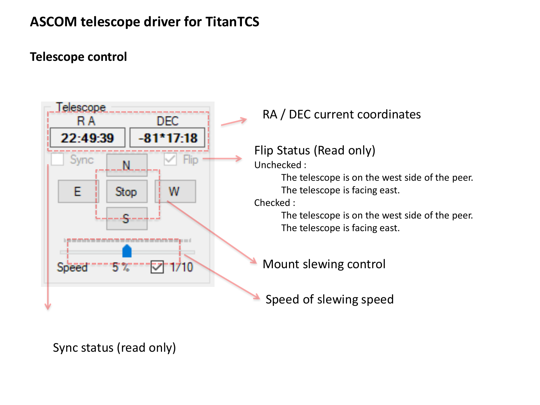#### **Telescope control**



RA / DEC current coordinates

```
Flip Status (Read only)
```
Unchecked :

The telescope is on the west side of the peer. The telescope is facing east.

Checked :

The telescope is on the west side of the peer. The telescope is facing east.

Mount slewing control

Speed of slewing speed

#### Sync status (read only)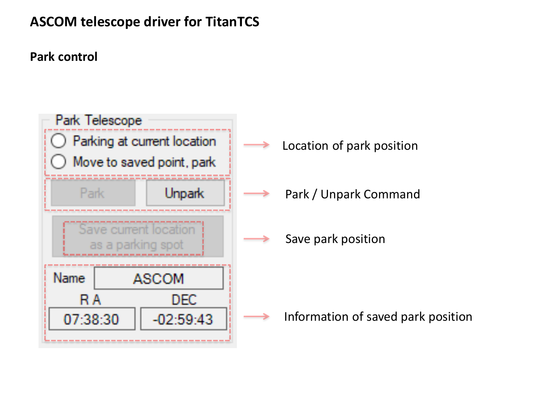**Park control**

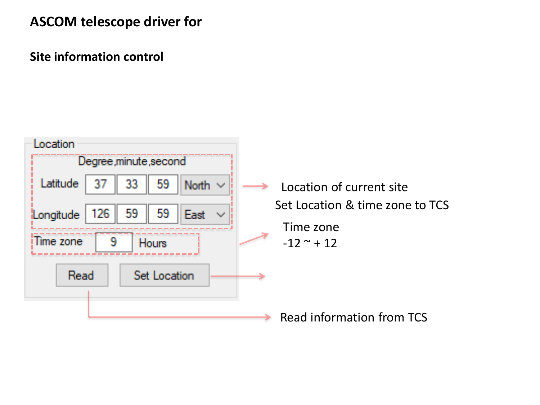#### **ASCOM telescope driver for**

**Site information control**

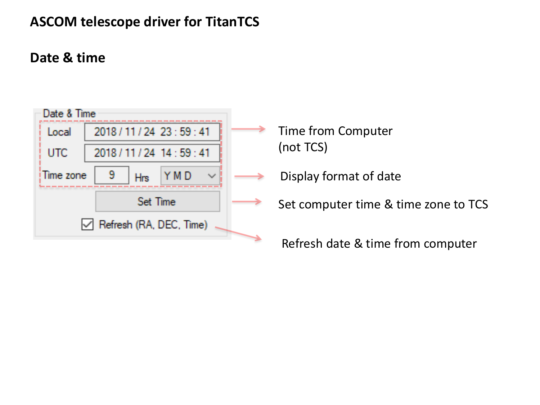## **Date & time**



- Time from Computer (not TCS)
- Display format of date
- Set computer time & time zone to TCS
	- Refresh date & time from computer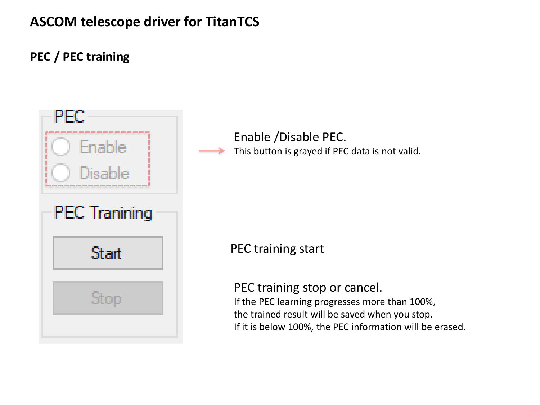#### **PEC / PEC training**



Enable /Disable PEC. This button is grayed if PEC data is not valid.

PEC training start

PEC training stop or cancel. If the PEC learning progresses more than 100%, the trained result will be saved when you stop.

If it is below 100%, the PEC information will be erased.